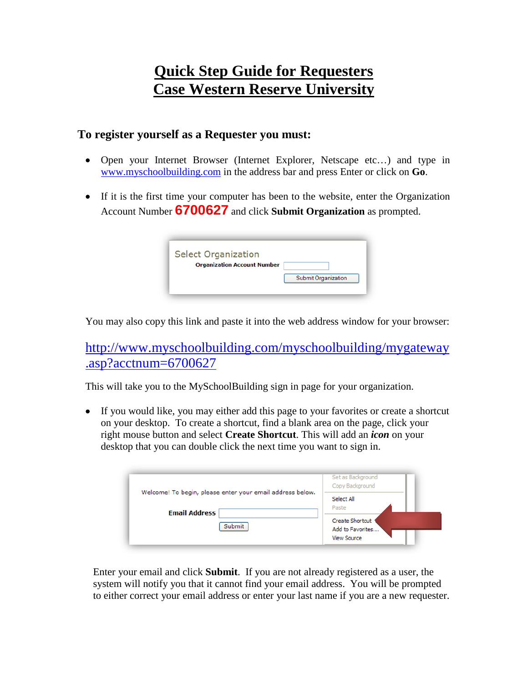## **Quick Step Guide for Requesters Case Western Reserve University**

## **To register yourself as a Requester you must:**

- Open your Internet Browser (Internet Explorer, Netscape etc…) and type in [www.myschoolbuilding.com](http://www.myschoolbuilding.com/) in the address bar and press Enter or click on **Go**.
- If it is the first time your computer has been to the website, enter the Organization Account Number **6700627** and click **Submit Organization** as prompted.

| <b>Select Organization</b>         |                            |
|------------------------------------|----------------------------|
| <b>Organization Account Number</b> |                            |
|                                    | <b>Submit Organization</b> |
|                                    |                            |

You may also copy this link and paste it into the web address window for your browser:

[http://www.myschoolbuilding.com/myschoolbuilding/mygateway](http://www.myschoolbuilding.com/myschoolbuilding/mygateway.asp?acctnum=6700627) [.asp?acctnum=6700627](http://www.myschoolbuilding.com/myschoolbuilding/mygateway.asp?acctnum=6700627)

This will take you to the MySchoolBuilding sign in page for your organization.

• If you would like, you may either add this page to your favorites or create a shortcut on your desktop. To create a shortcut, find a blank area on the page, click your right mouse button and select **Create Shortcut**. This will add an *icon* on your desktop that you can double click the next time you want to sign in.

|                                                                                   | Set as Background<br>Copy Background                             |
|-----------------------------------------------------------------------------------|------------------------------------------------------------------|
| Welcome! To begin, please enter your email address below.<br><b>Email Address</b> | Select All<br>Paste                                              |
| <b>Submit</b>                                                                     | <b>Create Shortcut</b><br>Add to Favorites<br><b>View Source</b> |

Enter your email and click **Submit**. If you are not already registered as a user, the system will notify you that it cannot find your email address. You will be prompted to either correct your email address or enter your last name if you are a new requester.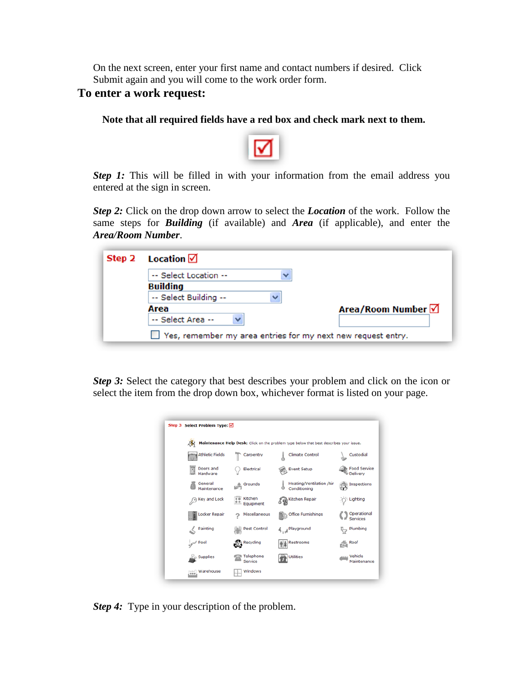On the next screen, enter your first name and contact numbers if desired. Click Submit again and you will come to the work order form.

## **To enter a work request:**

## **Note that all required fields have a red box and check mark next to them.**



*Step 1:* This will be filled in with your information from the email address you entered at the sign in screen.

*Step 2:* Click on the drop down arrow to select the *Location* of the work. Follow the same steps for *Building* (if available) and *Area* (if applicable), and enter the *Area/Room Number*.

|  | Step 2 Location $\sqrt{ }$                                          |                           |
|--|---------------------------------------------------------------------|---------------------------|
|  | -- Select Location --                                               |                           |
|  | <b>Building</b>                                                     |                           |
|  | -- Select Building --                                               |                           |
|  | Area                                                                | Area/Room Number <b>√</b> |
|  | -- Select Area --                                                   |                           |
|  | $\Box$ Yes, remember my area entries for my next new request entry. |                           |

*Step 3:* Select the category that best describes your problem and click on the icon or select the item from the drop down box, whichever format is listed on your page.

| Step 3 Select Problem Type: Ø                                                          |                                      |                                          |                                 |  |  |  |
|----------------------------------------------------------------------------------------|--------------------------------------|------------------------------------------|---------------------------------|--|--|--|
|                                                                                        |                                      |                                          |                                 |  |  |  |
| Maintenance Help Desk: Click on the problem type below that best describes your issue. |                                      |                                          |                                 |  |  |  |
| <b>Athletic Fields</b>                                                                 | Carpentry                            | <b>Climate Control</b>                   | Custodial                       |  |  |  |
| Doors and<br>B<br>Hardware                                                             | Electrical                           | <b>Event Setup</b>                       | <b>Food Service</b><br>Delivery |  |  |  |
| General<br>Maintenance                                                                 | $\triangleq$ Grounds                 | Heating/Ventilation /Air<br>Conditioning | See Inspections                 |  |  |  |
| Key and Lock                                                                           | o o Kitchen<br><b>R.P.</b> Equipment | Kitchen Repair                           | - Lighting                      |  |  |  |
| Locker Repair                                                                          | Miscellaneous                        | <b>Office Furnishings</b>                | Operational<br>Services         |  |  |  |
| Painting                                                                               | ((a)) Pest Control                   | A Playground                             | Plumbing                        |  |  |  |
| <b>Pool</b>                                                                            | Recycling                            | Restrooms                                | $\mathbb{E}$ Roof               |  |  |  |
| <b>Supplies</b>                                                                        | Telephone<br>Service                 | <b>Utilities</b>                         | um Vehicle<br>Maintenance       |  |  |  |
| Marehouse                                                                              | Windows                              |                                          |                                 |  |  |  |

*Step 4:* Type in your description of the problem.